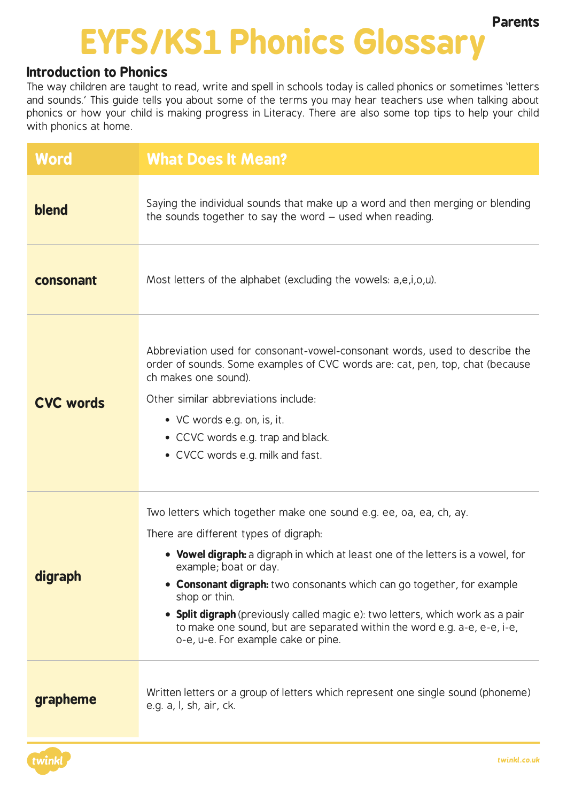## **EYFS/KS1 Phonics Glossary Parents**

## **Introduction to Phonics**

The way children are taught to read, write and spell in schools today is called phonics or sometimes 'letters and sounds.' This guide tells you about some of the terms you may hear teachers use when talking about phonics or how your child is making progress in Literacy. There are also some top tips to help your child with phonics at home.

| Word             | <b>What Does It Mean?</b>                                                                                                                                                                                                                                                                                                                                                                                                                                                                                               |  |
|------------------|-------------------------------------------------------------------------------------------------------------------------------------------------------------------------------------------------------------------------------------------------------------------------------------------------------------------------------------------------------------------------------------------------------------------------------------------------------------------------------------------------------------------------|--|
| blend            | Saying the individual sounds that make up a word and then merging or blending<br>the sounds together to say the word – used when reading.                                                                                                                                                                                                                                                                                                                                                                               |  |
| consonant        | Most letters of the alphabet (excluding the vowels: a,e,i,o,u).                                                                                                                                                                                                                                                                                                                                                                                                                                                         |  |
| <b>CVC words</b> | Abbreviation used for consonant-vowel-consonant words, used to describe the<br>order of sounds. Some examples of CVC words are: cat, pen, top, chat (because<br>ch makes one sound).<br>Other similar abbreviations include:<br>• VC words e.g. on, is, it.<br>• CCVC words e.g. trap and black.<br>• CVCC words e.g. milk and fast.                                                                                                                                                                                    |  |
| digraph          | Two letters which together make one sound e.g. ee, oa, ea, ch, ay.<br>There are different types of digraph:<br>• Vowel digraph: a digraph in which at least one of the letters is a vowel, for<br>example; boat or day.<br>• Consonant digraph: two consonants which can go together, for example<br>shop or thin.<br>• Split digraph (previously called magic e): two letters, which work as a pair<br>to make one sound, but are separated within the word e.g. a-e, e-e, i-e,<br>o-e, u-e. For example cake or pine. |  |
| grapheme         | Written letters or a group of letters which represent one single sound (phoneme)<br>e.g. a, l, sh, air, ck.                                                                                                                                                                                                                                                                                                                                                                                                             |  |

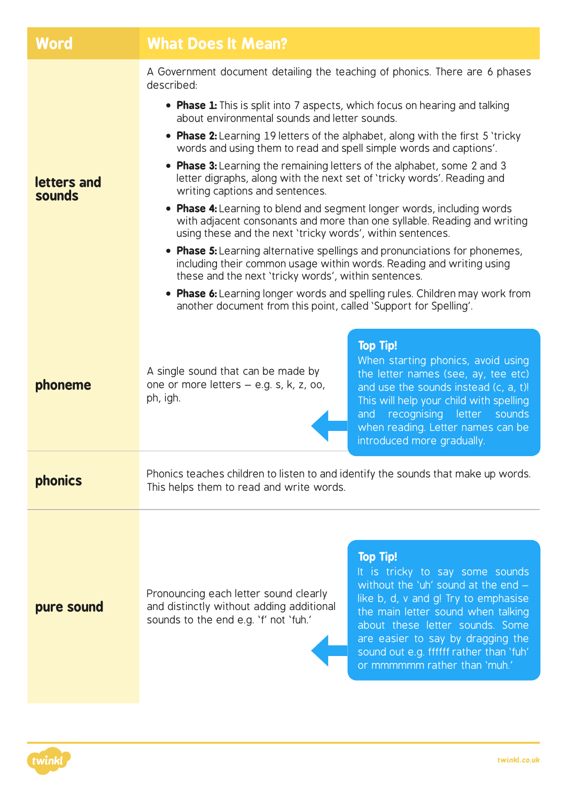| Word                  | <b>What Does It Mean?</b>                                                                                                                                                                                                                                                                                                                                                                                                                                                                                                                                                                                                                                                                                                                                                                                                                                                                                                                                                                                                                                                                   |  |  |
|-----------------------|---------------------------------------------------------------------------------------------------------------------------------------------------------------------------------------------------------------------------------------------------------------------------------------------------------------------------------------------------------------------------------------------------------------------------------------------------------------------------------------------------------------------------------------------------------------------------------------------------------------------------------------------------------------------------------------------------------------------------------------------------------------------------------------------------------------------------------------------------------------------------------------------------------------------------------------------------------------------------------------------------------------------------------------------------------------------------------------------|--|--|
| letters and<br>sounds | A Government document detailing the teaching of phonics. There are 6 phases<br>described:<br>• Phase 1: This is split into 7 aspects, which focus on hearing and talking<br>about environmental sounds and letter sounds.<br>• Phase 2: Learning 19 letters of the alphabet, along with the first 5 'tricky<br>words and using them to read and spell simple words and captions'.<br>• Phase 3: Learning the remaining letters of the alphabet, some 2 and 3<br>letter digraphs, along with the next set of 'tricky words'. Reading and<br>writing captions and sentences.<br>• Phase 4: Learning to blend and segment longer words, including words<br>with adjacent consonants and more than one syllable. Reading and writing<br>using these and the next 'tricky words', within sentences.<br>• Phase 5: Learning alternative spellings and pronunciations for phonemes,<br>including their common usage within words. Reading and writing using<br>these and the next 'tricky words', within sentences.<br>• Phase 6: Learning longer words and spelling rules. Children may work from |  |  |
| phoneme               | another document from this point, called 'Support for Spelling'.<br><b>Top Tip!</b><br>When starting phonics, avoid using<br>A single sound that can be made by<br>the letter names (see, ay, tee etc)<br>one or more letters - e.g. s, k, z, oo,<br>and use the sounds instead (c, a, t)!<br>ph, igh.<br>This will help your child with spelling<br>and recognising letter sounds<br>when reading. Letter names can be<br>introduced more gradually.                                                                                                                                                                                                                                                                                                                                                                                                                                                                                                                                                                                                                                       |  |  |
| <b>phonics</b>        | Phonics teaches children to listen to and identify the sounds that make up words.<br>This helps them to read and write words.                                                                                                                                                                                                                                                                                                                                                                                                                                                                                                                                                                                                                                                                                                                                                                                                                                                                                                                                                               |  |  |
| pure sound            | <b>Top Tip!</b><br>It is tricky to say some sounds<br>without the 'uh' sound at the end -<br>Pronouncing each letter sound clearly<br>like b, d, v and g! Try to emphasise<br>and distinctly without adding additional<br>the main letter sound when talking<br>sounds to the end e.g. 'f' not 'fuh.'<br>about these letter sounds. Some<br>are easier to say by dragging the<br>sound out e.g. ffffff rather than 'fuh'<br>or mmmmmm rather than 'muh.'                                                                                                                                                                                                                                                                                                                                                                                                                                                                                                                                                                                                                                    |  |  |